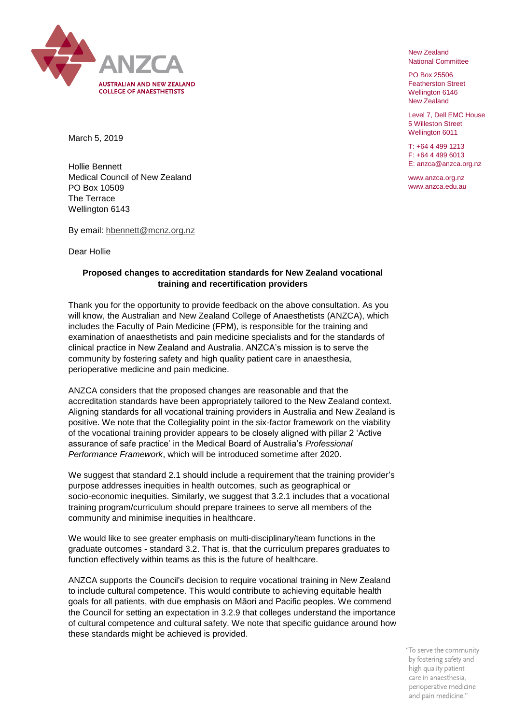

New Zealand National Committee

PO Box 25506 Featherston Street Wellington 6146 New Zealand

Level 7, Dell EMC House 5 Willeston Street Wellington 6011

T: +64 4 499 1213 F: +64 4 499 6013 E: anzca@anzca.org.nz

www.anzca.org.nz www.anzca.edu.au

March 5, 2019

Hollie Bennett Medical Council of New Zealand PO Box 10509 The Terrace Wellington 6143

By email: hbennett@mcnz.org.nz

Dear Hollie

## **Proposed changes to accreditation standards for New Zealand vocational training and recertification providers**

Thank you for the opportunity to provide feedback on the above consultation. As you will know, the Australian and New Zealand College of Anaesthetists (ANZCA), which includes the Faculty of Pain Medicine (FPM), is responsible for the training and examination of anaesthetists and pain medicine specialists and for the standards of clinical practice in New Zealand and Australia. ANZCA's mission is to serve the community by fostering safety and high quality patient care in anaesthesia, perioperative medicine and pain medicine.

ANZCA considers that the proposed changes are reasonable and that the accreditation standards have been appropriately tailored to the New Zealand context. Aligning standards for all vocational training providers in Australia and New Zealand is positive. We note that the Collegiality point in the six-factor framework on the viability of the vocational training provider appears to be closely aligned with pillar 2 'Active assurance of safe practice' in the Medical Board of Australia's *Professional Performance Framework*, which will be introduced sometime after 2020.

We suggest that standard 2.1 should include a requirement that the training provider's purpose addresses inequities in health outcomes, such as geographical or socio-economic inequities. Similarly, we suggest that 3.2.1 includes that a vocational training program/curriculum should prepare trainees to serve all members of the community and minimise inequities in healthcare.

We would like to see greater emphasis on multi-disciplinary/team functions in the graduate outcomes - standard 3.2. That is, that the curriculum prepares graduates to function effectively within teams as this is the future of healthcare.

ANZCA supports the Council's decision to require vocational training in New Zealand to include cultural competence. This would contribute to achieving equitable health goals for all patients, with due emphasis on Māori and Pacific peoples. We commend the Council for setting an expectation in 3.2.9 that colleges understand the importance of cultural competence and cultural safety. We note that specific guidance around how these standards might be achieved is provided.

> "To serve the community by fostering safety and high quality patient care in anaesthesia, perioperative medicine and pain medicine."